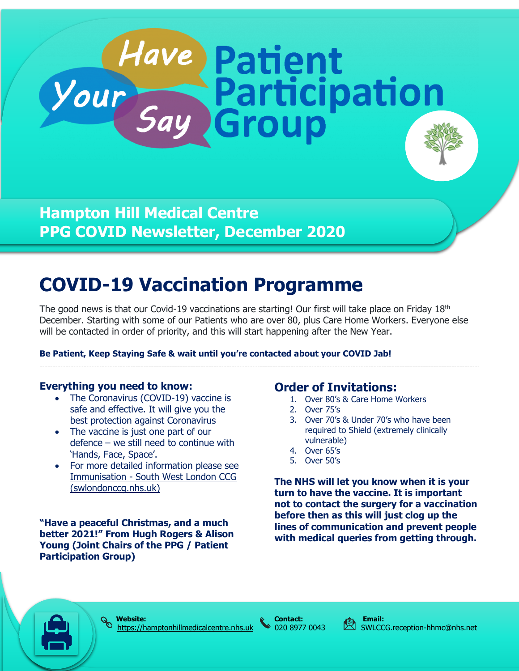# **Hampton Hill Medical Centre PPG COVID Newsletter, December 2020**

# **COVID-19 Vaccination Programme**

The good news is that our Covid-19 vaccinations are starting! Our first will take place on Friday  $18<sup>th</sup>$ December. Starting with some of our Patients who are over 80, plus Care Home Workers. Everyone else will be contacted in order of priority, and this will start happening after the New Year.

*Have Patient<br>Your Say Group* 

#### **Be Patient, Keep Staying Safe & wait until you're contacted about your COVID Jab!**

#### **Everything you need to know:**

- The Coronavirus (COVID-19) vaccine is safe and effective. It will give you the best protection against Coronavirus
- The vaccine is just one part of our defence – we still need to continue with 'Hands, Face, Space'.
- For more detailed information please see Immunisation - [South West London CCG](https://swlondonccg.nhs.uk/your-health/immunisation/)  [\(swlondonccg.nhs.uk\)](https://swlondonccg.nhs.uk/your-health/immunisation/)

**"Have a peaceful Christmas, and a much better 2021!" From Hugh Rogers & Alison Young (Joint Chairs of the PPG / Patient Participation Group)**

## **Order of Invitations:**

- 1. Over 80's & Care Home Workers
- 2. Over 75's
- 3. Over 70's & Under 70's who have been required to Shield (extremely clinically vulnerable)
- 4. Over 65's
- 5. Over 50's

**The NHS will let you know when it is your turn to have the vaccine. It is important not to contact the surgery for a vaccination before then as this will just clog up the lines of communication and prevent people with medical queries from getting through.**